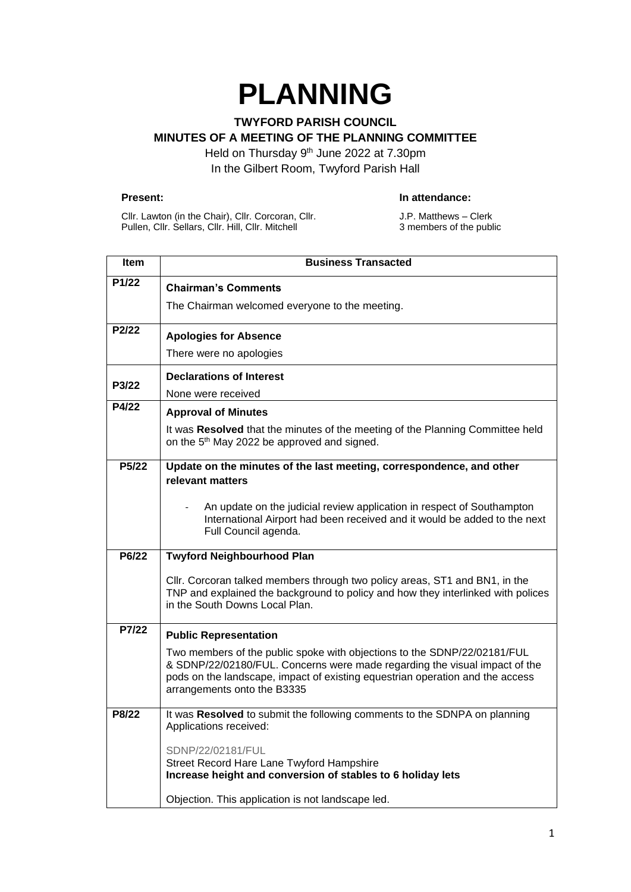# **PLANNING**

# **TWYFORD PARISH COUNCIL MINUTES OF A MEETING OF THE PLANNING COMMITTEE**

Held on Thursday 9<sup>th</sup> June 2022 at 7.30pm In the Gilbert Room, Twyford Parish Hall

#### **Present: In attendance:**

Cllr. Lawton (in the Chair), Cllr. Corcoran, Cllr. Pullen, Cllr. Sellars, Cllr. Hill, Cllr. Mitchell

J.P. Matthews – Clerk 3 members of the public

| Item               | <b>Business Transacted</b>                                                                                                                                                                                                                                             |
|--------------------|------------------------------------------------------------------------------------------------------------------------------------------------------------------------------------------------------------------------------------------------------------------------|
| P1/22              | <b>Chairman's Comments</b>                                                                                                                                                                                                                                             |
|                    | The Chairman welcomed everyone to the meeting.                                                                                                                                                                                                                         |
| P2/22              | <b>Apologies for Absence</b>                                                                                                                                                                                                                                           |
|                    | There were no apologies                                                                                                                                                                                                                                                |
| P3/22              | <b>Declarations of Interest</b><br>None were received                                                                                                                                                                                                                  |
| P4/22              | <b>Approval of Minutes</b>                                                                                                                                                                                                                                             |
|                    | It was Resolved that the minutes of the meeting of the Planning Committee held<br>on the 5 <sup>th</sup> May 2022 be approved and signed.                                                                                                                              |
| P <sub>5</sub> /22 | Update on the minutes of the last meeting, correspondence, and other<br>relevant matters                                                                                                                                                                               |
|                    | An update on the judicial review application in respect of Southampton<br>International Airport had been received and it would be added to the next<br>Full Council agenda.                                                                                            |
| P6/22              | <b>Twyford Neighbourhood Plan</b>                                                                                                                                                                                                                                      |
|                    | Cllr. Corcoran talked members through two policy areas, ST1 and BN1, in the<br>TNP and explained the background to policy and how they interlinked with polices<br>in the South Downs Local Plan.                                                                      |
| P7/22              | <b>Public Representation</b>                                                                                                                                                                                                                                           |
|                    | Two members of the public spoke with objections to the SDNP/22/02181/FUL<br>& SDNP/22/02180/FUL. Concerns were made regarding the visual impact of the<br>pods on the landscape, impact of existing equestrian operation and the access<br>arrangements onto the B3335 |
| P8/22              | It was Resolved to submit the following comments to the SDNPA on planning<br>Applications received:                                                                                                                                                                    |
|                    | SDNP/22/02181/FUL<br>Street Record Hare Lane Twyford Hampshire<br>Increase height and conversion of stables to 6 holiday lets<br>Objection. This application is not landscape led.                                                                                     |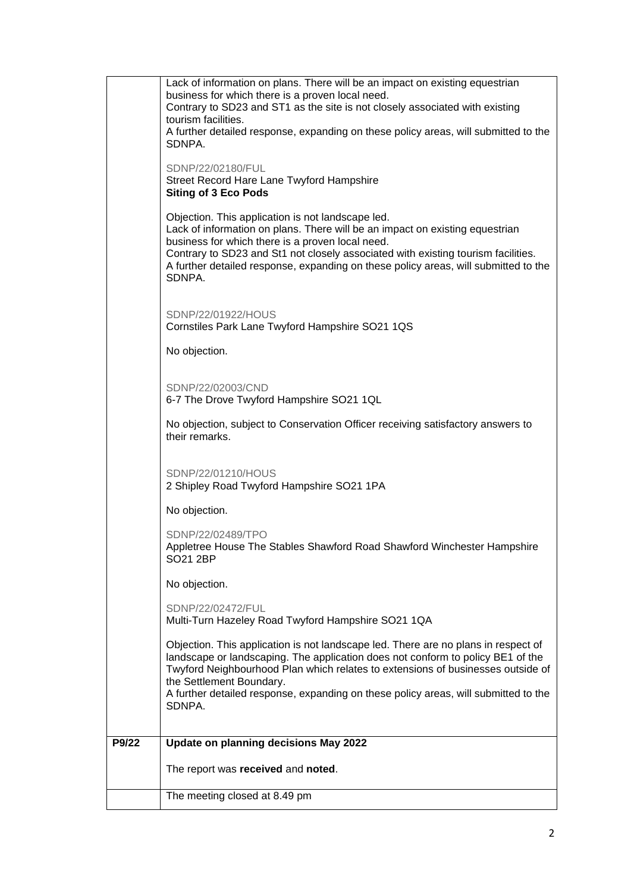|       | Lack of information on plans. There will be an impact on existing equestrian<br>business for which there is a proven local need.                                      |
|-------|-----------------------------------------------------------------------------------------------------------------------------------------------------------------------|
|       | Contrary to SD23 and ST1 as the site is not closely associated with existing                                                                                          |
|       | tourism facilities.<br>A further detailed response, expanding on these policy areas, will submitted to the                                                            |
|       | SDNPA.                                                                                                                                                                |
|       | SDNP/22/02180/FUL                                                                                                                                                     |
|       | Street Record Hare Lane Twyford Hampshire                                                                                                                             |
|       | <b>Siting of 3 Eco Pods</b>                                                                                                                                           |
|       | Objection. This application is not landscape led.                                                                                                                     |
|       | Lack of information on plans. There will be an impact on existing equestrian<br>business for which there is a proven local need.                                      |
|       | Contrary to SD23 and St1 not closely associated with existing tourism facilities.                                                                                     |
|       | A further detailed response, expanding on these policy areas, will submitted to the<br>SDNPA.                                                                         |
|       |                                                                                                                                                                       |
|       | SDNP/22/01922/HOUS                                                                                                                                                    |
|       | Cornstiles Park Lane Twyford Hampshire SO21 1QS                                                                                                                       |
|       | No objection.                                                                                                                                                         |
|       |                                                                                                                                                                       |
|       | SDNP/22/02003/CND                                                                                                                                                     |
|       | 6-7 The Drove Twyford Hampshire SO21 1QL                                                                                                                              |
|       | No objection, subject to Conservation Officer receiving satisfactory answers to                                                                                       |
|       | their remarks.                                                                                                                                                        |
|       |                                                                                                                                                                       |
|       | SDNP/22/01210/HOUS<br>2 Shipley Road Twyford Hampshire SO21 1PA                                                                                                       |
|       |                                                                                                                                                                       |
|       | No objection.                                                                                                                                                         |
|       | SDNP/22/02489/TPO                                                                                                                                                     |
|       | Appletree House The Stables Shawford Road Shawford Winchester Hampshire<br>SO21 2BP                                                                                   |
|       |                                                                                                                                                                       |
|       | No objection.                                                                                                                                                         |
|       | SDNP/22/02472/FUL<br>Multi-Turn Hazeley Road Twyford Hampshire SO21 1QA                                                                                               |
|       |                                                                                                                                                                       |
|       | Objection. This application is not landscape led. There are no plans in respect of<br>landscape or landscaping. The application does not conform to policy BE1 of the |
|       | Twyford Neighbourhood Plan which relates to extensions of businesses outside of                                                                                       |
|       | the Settlement Boundary.<br>A further detailed response, expanding on these policy areas, will submitted to the                                                       |
|       | SDNPA.                                                                                                                                                                |
|       |                                                                                                                                                                       |
| P9/22 | Update on planning decisions May 2022                                                                                                                                 |
|       | The report was received and noted.                                                                                                                                    |
|       |                                                                                                                                                                       |
|       | The meeting closed at 8.49 pm                                                                                                                                         |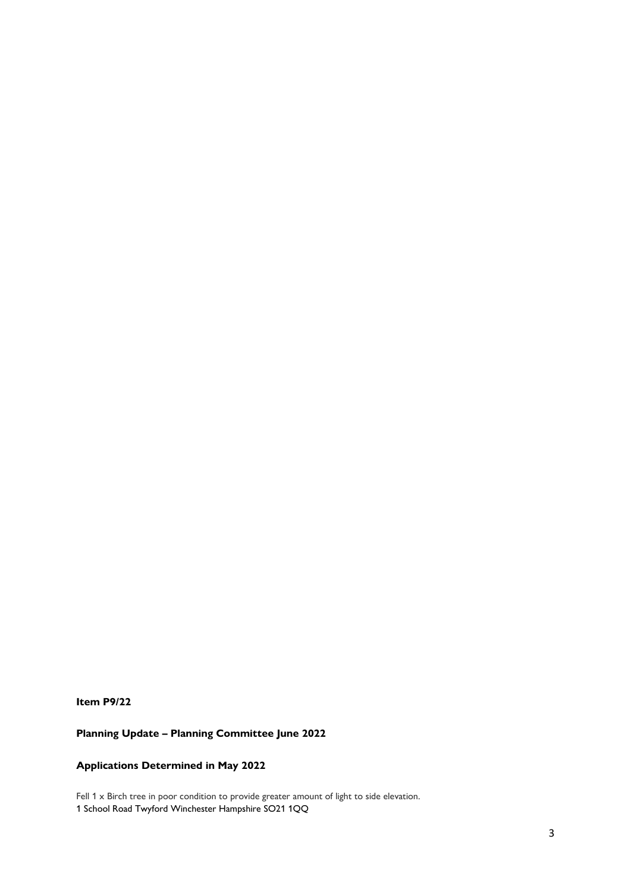**Item P9/22**

## **Planning Update – Planning Committee June 2022**

### **Applications Determined in May 2022**

Fell  $1 \times$  Birch tree in poor condition to provide greater amount of light to side elevation. 1 School Road Twyford Winchester Hampshire SO21 1QQ